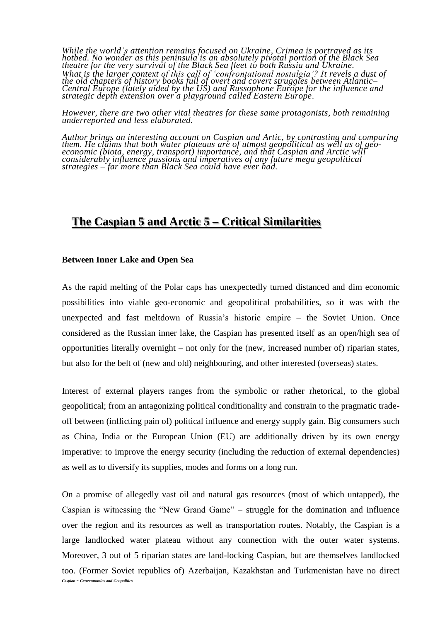*While the world's attention remains focused on Ukraine, Crimea is portrayed as its hotbed. No wonder as this peninsula is an absolutely pivotal portion of the Black Sea theatre for the very survival of the Black Sea fleet to both Russia and Ukraine. What is the larger context of this call of 'confrontational nostalgia'? It revels a dust of the old chapters of history books full of overt and covert struggles between Atlantic– Central Europe (lately aided by the US) and Russophone Europe for the influence and strategic depth extension over a playground called Eastern Europe.* 

*However, there are two other vital theatres for these same protagonists, both remaining underreported and less elaborated.* 

*Author brings an interesting account on Caspian and Artic, by contrasting and comparing them. He claims that both water plateaus are of utmost geopolitical as well as of geoeconomic (biota, energy, transport) importance, and that Caspian and Arctic will considerably influence passions and imperatives of any future mega geopolitical strategies – far more than Black Sea could have ever had.* 

## **The Caspian 5 and Arctic 5 – Critical Similarities**

## **Between Inner Lake and Open Sea**

As the rapid melting of the Polar caps has unexpectedly turned distanced and dim economic possibilities into viable geo-economic and geopolitical probabilities, so it was with the unexpected and fast meltdown of Russia's historic empire – the Soviet Union. Once considered as the Russian inner lake, the Caspian has presented itself as an open/high sea of opportunities literally overnight – not only for the (new, increased number of) riparian states, but also for the belt of (new and old) neighbouring, and other interested (overseas) states.

Interest of external players ranges from the symbolic or rather rhetorical, to the global geopolitical; from an antagonizing political conditionality and constrain to the pragmatic tradeoff between (inflicting pain of) political influence and energy supply gain. Big consumers such as China, India or the European Union (EU) are additionally driven by its own energy imperative: to improve the energy security (including the reduction of external dependencies) as well as to diversify its supplies, modes and forms on a long run.

*Caspian – Geoeconomics and Geopolitics* On a promise of allegedly vast oil and natural gas resources (most of which untapped), the Caspian is witnessing the "New Grand Game" – struggle for the domination and influence over the region and its resources as well as transportation routes. Notably, the Caspian is a large landlocked water plateau without any connection with the outer water systems. Moreover, 3 out of 5 riparian states are land-locking Caspian, but are themselves landlocked too. (Former Soviet republics of) Azerbaijan, Kazakhstan and Turkmenistan have no direct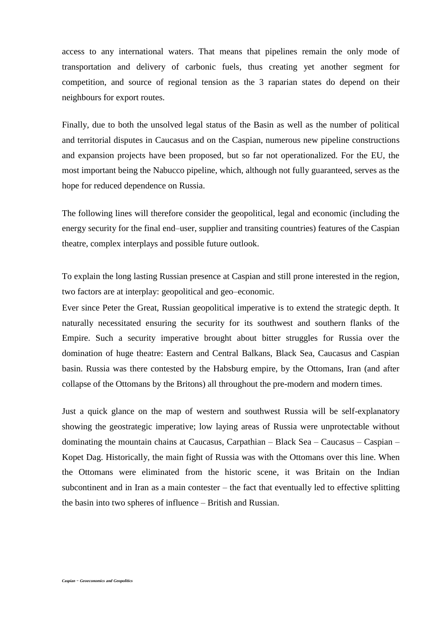access to any international waters. That means that pipelines remain the only mode of transportation and delivery of carbonic fuels, thus creating yet another segment for competition, and source of regional tension as the 3 raparian states do depend on their neighbours for export routes.

Finally, due to both the unsolved legal status of the Basin as well as the number of political and territorial disputes in Caucasus and on the Caspian, numerous new pipeline constructions and expansion projects have been proposed, but so far not operationalized. For the EU, the most important being the Nabucco pipeline, which, although not fully guaranteed, serves as the hope for reduced dependence on Russia.

The following lines will therefore consider the geopolitical, legal and economic (including the energy security for the final end–user, supplier and transiting countries) features of the Caspian theatre, complex interplays and possible future outlook.

To explain the long lasting Russian presence at Caspian and still prone interested in the region, two factors are at interplay: geopolitical and geo–economic.

Ever since Peter the Great, Russian geopolitical imperative is to extend the strategic depth. It naturally necessitated ensuring the security for its southwest and southern flanks of the Empire. Such a security imperative brought about bitter struggles for Russia over the domination of huge theatre: Eastern and Central Balkans, Black Sea, Caucasus and Caspian basin. Russia was there contested by the Habsburg empire, by the Ottomans, Iran (and after collapse of the Ottomans by the Britons) all throughout the pre-modern and modern times.

Just a quick glance on the map of western and southwest Russia will be self-explanatory showing the geostrategic imperative; low laying areas of Russia were unprotectable without dominating the mountain chains at Caucasus, Carpathian – Black Sea – Caucasus – Caspian – Kopet Dag. Historically, the main fight of Russia was with the Ottomans over this line. When the Ottomans were eliminated from the historic scene, it was Britain on the Indian subcontinent and in Iran as a main contester – the fact that eventually led to effective splitting the basin into two spheres of influence – British and Russian.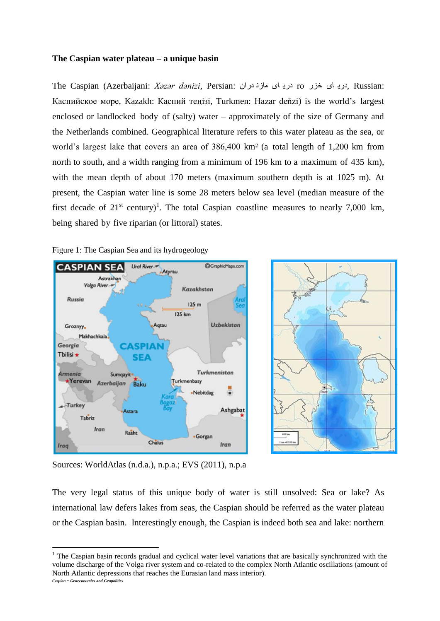## **The Caspian water plateau – a unique basin**

The Caspian [\(Azerbaijani:](http://en.wikipedia.org/wiki/Azerbaijani_language) *Xəzər dənizi*, [Persian:](http://en.wikipedia.org/wiki/Persian_language) دران مازن ای دری ro خزر ای دری, [Russian:](http://en.wikipedia.org/wiki/Russian_language) Каспийское море, [Kazakh:](http://en.wikipedia.org/wiki/Kazakh_language) Каспий теңізі, [Turkmen:](http://en.wikipedia.org/wiki/Turkmen_language) Hazar deňzi) is the world's largest enclosed or landlocked body of (salty) water – approximately of the size of Germany and the Netherlands combined. Geographical literature refers to this water plateau as the sea, or world's largest lake that covers an area of 386,400 km² (a total length of 1,200 km from north to south, and a width ranging from a minimum of 196 km to a maximum of 435 km), with the mean depth of about 170 meters (maximum southern depth is at 1025 m). At present, the Caspian water line is some 28 meters below sea level (median measure of the first decade of  $21<sup>st</sup>$  century)<sup>1</sup>. The total Caspian coastline measures to nearly 7,000 km, being shared by five riparian (or littoral) states.







Sources: WorldAtlas (n.d.a.), n.p.a.; EVS (2011), n.p.a

1

The very legal status of this unique body of water is still unsolved: Sea or lake? As international law defers lakes from seas, the Caspian should be referred as the water plateau or the Caspian basin. Interestingly enough, the Caspian is indeed both sea and lake: northern

*Caspian – Geoeconomics and Geopolitics*  $1$  The Caspian basin records gradual and cyclical water level variations that are basically synchronized with the volume discharge of the Volga river system and co-related to the complex North Atlantic oscillations (amount of North Atlantic depressions that reaches the Eurasian land mass interior).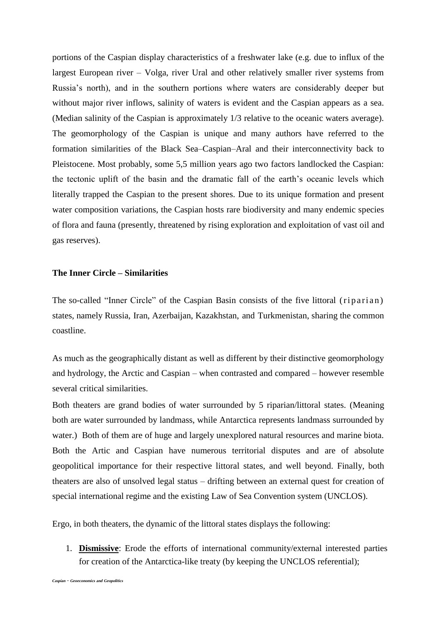portions of the Caspian display characteristics of a freshwater lake (e.g. due to influx of the largest European river – Volga, river Ural and other relatively smaller river systems from Russia's north), and in the southern portions where waters are considerably deeper but without major river inflows, salinity of waters is evident and the Caspian appears as a sea. (Median salinity of the Caspian is approximately 1/3 relative to the oceanic waters average). The geomorphology of the Caspian is unique and many authors have referred to the formation similarities of the Black Sea–Caspian–Aral and their interconnectivity back to Pleistocene. Most probably, some 5,5 million years ago two factors landlocked the Caspian: the tectonic uplift of the basin and the dramatic fall of the earth's oceanic levels which literally trapped the Caspian to the present shores. Due to its unique formation and present water composition variations, the Caspian hosts rare biodiversity and many endemic species of flora and fauna (presently, threatened by rising exploration and exploitation of vast oil and gas reserves).

## **The Inner Circle – Similarities**

The so-called "Inner Circle" of the Caspian Basin consists of the five littoral (riparian) states, namely Russia, Iran, Azerbaijan, Kazakhstan, and Turkmenistan, sharing the common coastline.

As much as the geographically distant as well as different by their distinctive geomorphology and hydrology, the Arctic and Caspian – when contrasted and compared – however resemble several critical similarities.

Both theaters are grand bodies of water surrounded by 5 riparian/littoral states. (Meaning both are water surrounded by landmass, while Antarctica represents landmass surrounded by water.) Both of them are of huge and largely unexplored natural resources and marine biota. Both the Artic and Caspian have numerous territorial disputes and are of absolute geopolitical importance for their respective littoral states, and well beyond. Finally, both theaters are also of unsolved legal status – drifting between an external quest for creation of special international regime and the existing Law of Sea Convention system (UNCLOS).

Ergo, in both theaters, the dynamic of the littoral states displays the following:

1. **Dismissive**: Erode the efforts of international community/external interested parties for creation of the Antarctica-like treaty (by keeping the UNCLOS referential);